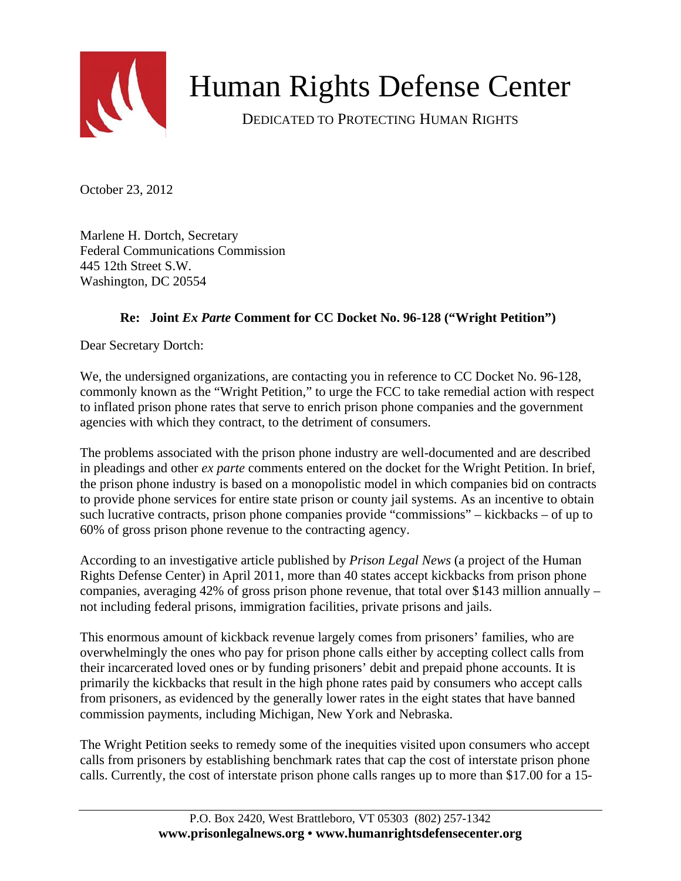

## Human Rights Defense Center

DEDICATED TO PROTECTING HUMAN RIGHTS

October 23, 2012

Marlene H. Dortch, Secretary Federal Communications Commission 445 12th Street S.W. Washington, DC 20554

## **Re: Joint** *Ex Parte* **Comment for CC Docket No. 96-128 ("Wright Petition")**

Dear Secretary Dortch:

We, the undersigned organizations, are contacting you in reference to CC Docket No. 96-128, commonly known as the "Wright Petition," to urge the FCC to take remedial action with respect to inflated prison phone rates that serve to enrich prison phone companies and the government agencies with which they contract, to the detriment of consumers.

The problems associated with the prison phone industry are well-documented and are described in pleadings and other *ex parte* comments entered on the docket for the Wright Petition. In brief, the prison phone industry is based on a monopolistic model in which companies bid on contracts to provide phone services for entire state prison or county jail systems. As an incentive to obtain such lucrative contracts, prison phone companies provide "commissions" – kickbacks – of up to 60% of gross prison phone revenue to the contracting agency.

According to an investigative article published by *Prison Legal News* (a project of the Human Rights Defense Center) in April 2011, more than 40 states accept kickbacks from prison phone companies, averaging 42% of gross prison phone revenue, that total over \$143 million annually – not including federal prisons, immigration facilities, private prisons and jails.

This enormous amount of kickback revenue largely comes from prisoners' families, who are overwhelmingly the ones who pay for prison phone calls either by accepting collect calls from their incarcerated loved ones or by funding prisoners' debit and prepaid phone accounts. It is primarily the kickbacks that result in the high phone rates paid by consumers who accept calls from prisoners, as evidenced by the generally lower rates in the eight states that have banned commission payments, including Michigan, New York and Nebraska.

The Wright Petition seeks to remedy some of the inequities visited upon consumers who accept calls from prisoners by establishing benchmark rates that cap the cost of interstate prison phone calls. Currently, the cost of interstate prison phone calls ranges up to more than \$17.00 for a 15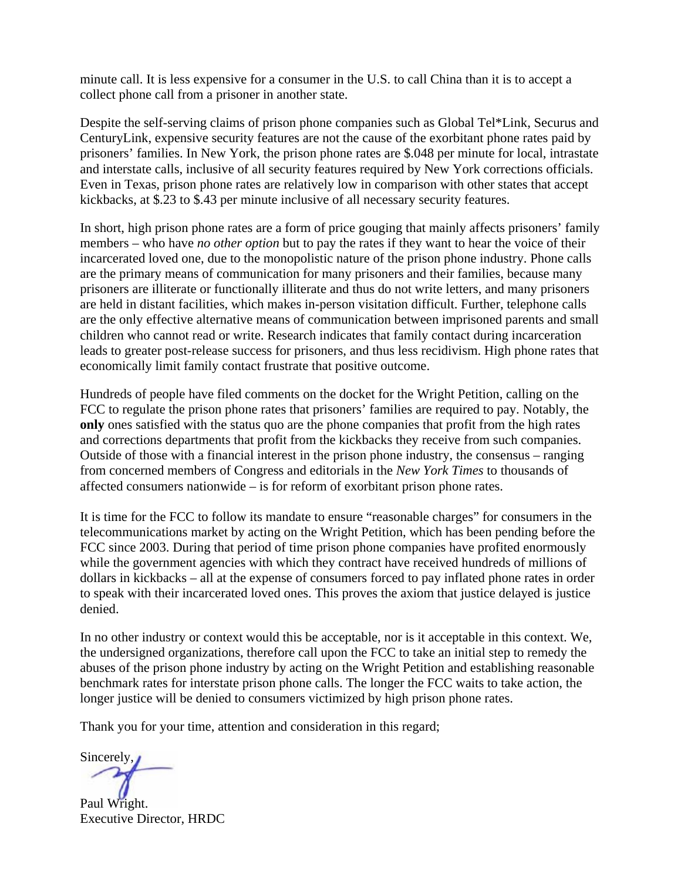minute call. It is less expensive for a consumer in the U.S. to call China than it is to accept a collect phone call from a prisoner in another state.

Despite the self-serving claims of prison phone companies such as Global Tel\*Link, Securus and CenturyLink, expensive security features are not the cause of the exorbitant phone rates paid by prisoners' families. In New York, the prison phone rates are \$.048 per minute for local, intrastate and interstate calls, inclusive of all security features required by New York corrections officials. Even in Texas, prison phone rates are relatively low in comparison with other states that accept kickbacks, at \$.23 to \$.43 per minute inclusive of all necessary security features.

In short, high prison phone rates are a form of price gouging that mainly affects prisoners' family members – who have *no other option* but to pay the rates if they want to hear the voice of their incarcerated loved one, due to the monopolistic nature of the prison phone industry. Phone calls are the primary means of communication for many prisoners and their families, because many prisoners are illiterate or functionally illiterate and thus do not write letters, and many prisoners are held in distant facilities, which makes in-person visitation difficult. Further, telephone calls are the only effective alternative means of communication between imprisoned parents and small children who cannot read or write. Research indicates that family contact during incarceration leads to greater post-release success for prisoners, and thus less recidivism. High phone rates that economically limit family contact frustrate that positive outcome.

Hundreds of people have filed comments on the docket for the Wright Petition, calling on the FCC to regulate the prison phone rates that prisoners' families are required to pay. Notably, the **only** ones satisfied with the status quo are the phone companies that profit from the high rates and corrections departments that profit from the kickbacks they receive from such companies. Outside of those with a financial interest in the prison phone industry, the consensus – ranging from concerned members of Congress and editorials in the *New York Times* to thousands of affected consumers nationwide – is for reform of exorbitant prison phone rates.

It is time for the FCC to follow its mandate to ensure "reasonable charges" for consumers in the telecommunications market by acting on the Wright Petition, which has been pending before the FCC since 2003. During that period of time prison phone companies have profited enormously while the government agencies with which they contract have received hundreds of millions of dollars in kickbacks – all at the expense of consumers forced to pay inflated phone rates in order to speak with their incarcerated loved ones. This proves the axiom that justice delayed is justice denied.

In no other industry or context would this be acceptable, nor is it acceptable in this context. We, the undersigned organizations, therefore call upon the FCC to take an initial step to remedy the abuses of the prison phone industry by acting on the Wright Petition and establishing reasonable benchmark rates for interstate prison phone calls. The longer the FCC waits to take action, the longer justice will be denied to consumers victimized by high prison phone rates.

Thank you for your time, attention and consideration in this regard;

Sincerely,

Paul Wright. Executive Director, HRDC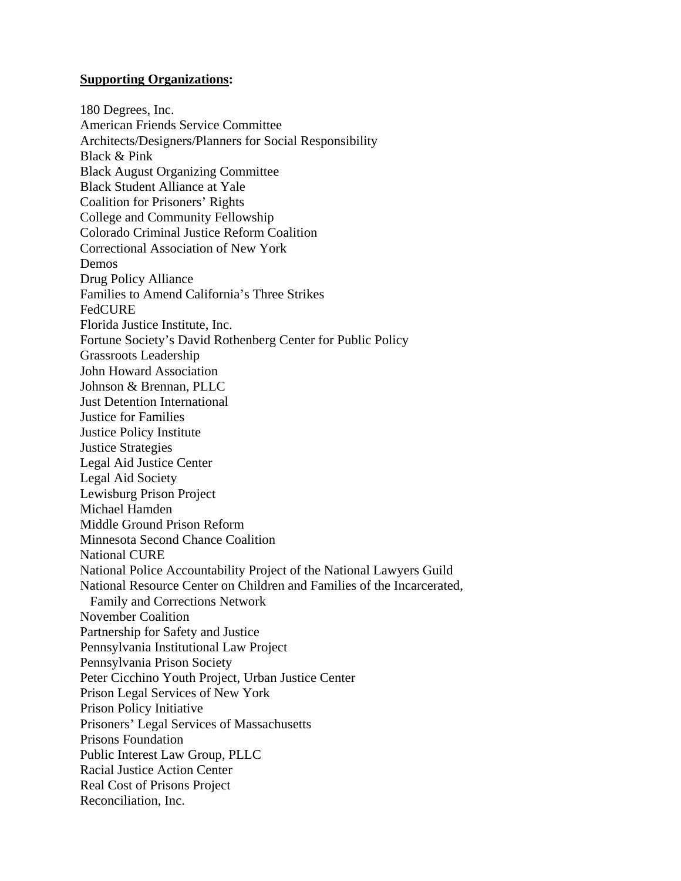## **Supporting Organizations:**

180 Degrees, Inc. American Friends Service Committee Architects/Designers/Planners for Social Responsibility Black & Pink Black August Organizing Committee Black Student Alliance at Yale Coalition for Prisoners' Rights College and Community Fellowship Colorado Criminal Justice Reform Coalition Correctional Association of New York Demos Drug Policy Alliance Families to Amend California's Three Strikes FedCURE Florida Justice Institute, Inc. Fortune Society's David Rothenberg Center for Public Policy Grassroots Leadership John Howard Association Johnson & Brennan, PLLC Just Detention International Justice for Families Justice Policy Institute Justice Strategies Legal Aid Justice Center Legal Aid Society Lewisburg Prison Project Michael Hamden Middle Ground Prison Reform Minnesota Second Chance Coalition National CURE National Police Accountability Project of the National Lawyers Guild National Resource Center on Children and Families of the Incarcerated, Family and Corrections Network November Coalition Partnership for Safety and Justice Pennsylvania Institutional Law Project Pennsylvania Prison Society Peter Cicchino Youth Project, Urban Justice Center Prison Legal Services of New York Prison Policy Initiative Prisoners' Legal Services of Massachusetts Prisons Foundation Public Interest Law Group, PLLC Racial Justice Action Center Real Cost of Prisons Project Reconciliation, Inc.